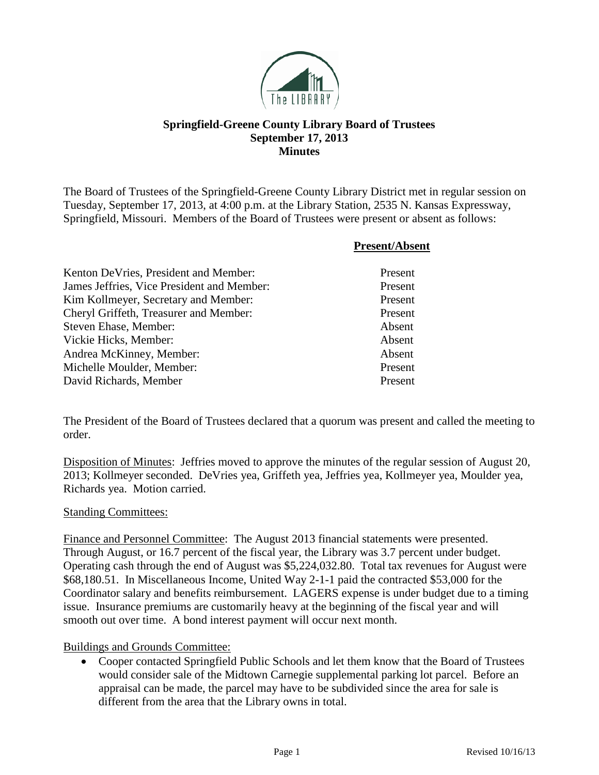

## **Springfield-Greene County Library Board of Trustees September 17, 2013 Minutes**

The Board of Trustees of the Springfield-Greene County Library District met in regular session on Tuesday, September 17, 2013, at 4:00 p.m. at the Library Station, 2535 N. Kansas Expressway, Springfield, Missouri. Members of the Board of Trustees were present or absent as follows:

|                                            | <b>Present/Absent</b> |
|--------------------------------------------|-----------------------|
| Kenton DeVries, President and Member:      | Present               |
| James Jeffries, Vice President and Member: | Present               |
| Kim Kollmeyer, Secretary and Member:       | Present               |
| Cheryl Griffeth, Treasurer and Member:     | Present               |
| Steven Ehase, Member:                      | Absent                |
| Vickie Hicks, Member:                      | Absent                |
| Andrea McKinney, Member:                   | Absent                |
| Michelle Moulder, Member:                  | Present               |
| David Richards, Member                     | Present               |

The President of the Board of Trustees declared that a quorum was present and called the meeting to order.

Disposition of Minutes: Jeffries moved to approve the minutes of the regular session of August 20, 2013; Kollmeyer seconded. DeVries yea, Griffeth yea, Jeffries yea, Kollmeyer yea, Moulder yea, Richards yea. Motion carried.

## Standing Committees:

Finance and Personnel Committee: The August 2013 financial statements were presented. Through August, or 16.7 percent of the fiscal year, the Library was 3.7 percent under budget. Operating cash through the end of August was \$5,224,032.80. Total tax revenues for August were \$68,180.51. In Miscellaneous Income, United Way 2-1-1 paid the contracted \$53,000 for the Coordinator salary and benefits reimbursement. LAGERS expense is under budget due to a timing issue. Insurance premiums are customarily heavy at the beginning of the fiscal year and will smooth out over time. A bond interest payment will occur next month.

## Buildings and Grounds Committee:

• Cooper contacted Springfield Public Schools and let them know that the Board of Trustees would consider sale of the Midtown Carnegie supplemental parking lot parcel. Before an appraisal can be made, the parcel may have to be subdivided since the area for sale is different from the area that the Library owns in total.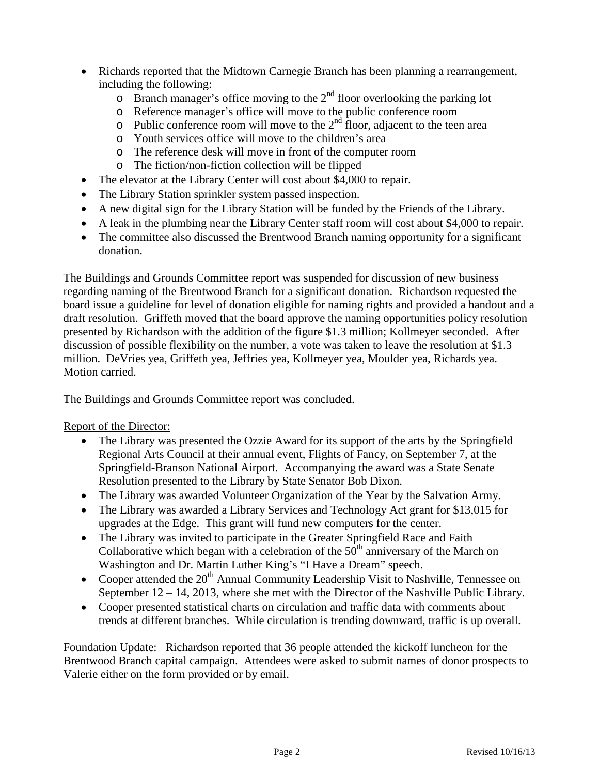- Richards reported that the Midtown Carnegie Branch has been planning a rearrangement, including the following:
	- $\circ$  Branch manager's office moving to the 2<sup>nd</sup> floor overlooking the parking lot
	- o Reference manager's office will move to the public conference room
	- $\circ$  Public conference room will move to the 2<sup>nd</sup> floor, adjacent to the teen area
	- o Youth services office will move to the children's area
	- o The reference desk will move in front of the computer room
	- o The fiction/non-fiction collection will be flipped
- The elevator at the Library Center will cost about \$4,000 to repair.
- The Library Station sprinkler system passed inspection.
- A new digital sign for the Library Station will be funded by the Friends of the Library.
- A leak in the plumbing near the Library Center staff room will cost about \$4,000 to repair.
- The committee also discussed the Brentwood Branch naming opportunity for a significant donation.

The Buildings and Grounds Committee report was suspended for discussion of new business regarding naming of the Brentwood Branch for a significant donation. Richardson requested the board issue a guideline for level of donation eligible for naming rights and provided a handout and a draft resolution. Griffeth moved that the board approve the naming opportunities policy resolution presented by Richardson with the addition of the figure \$1.3 million; Kollmeyer seconded. After discussion of possible flexibility on the number, a vote was taken to leave the resolution at \$1.3 million. DeVries yea, Griffeth yea, Jeffries yea, Kollmeyer yea, Moulder yea, Richards yea. Motion carried.

The Buildings and Grounds Committee report was concluded.

Report of the Director:

- The Library was presented the Ozzie Award for its support of the arts by the Springfield Regional Arts Council at their annual event, Flights of Fancy, on September 7, at the Springfield-Branson National Airport. Accompanying the award was a State Senate Resolution presented to the Library by State Senator Bob Dixon.
- The Library was awarded Volunteer Organization of the Year by the Salvation Army.
- The Library was awarded a Library Services and Technology Act grant for \$13,015 for upgrades at the Edge. This grant will fund new computers for the center.
- The Library was invited to participate in the Greater Springfield Race and Faith Collaborative which began with a celebration of the  $50<sup>th</sup>$  anniversary of the March on Washington and Dr. Martin Luther King's "I Have a Dream" speech.
- Cooper attended the  $20<sup>th</sup>$  Annual Community Leadership Visit to Nashville, Tennessee on September 12 – 14, 2013, where she met with the Director of the Nashville Public Library.
- Cooper presented statistical charts on circulation and traffic data with comments about trends at different branches. While circulation is trending downward, traffic is up overall.

Foundation Update: Richardson reported that 36 people attended the kickoff luncheon for the Brentwood Branch capital campaign. Attendees were asked to submit names of donor prospects to Valerie either on the form provided or by email.